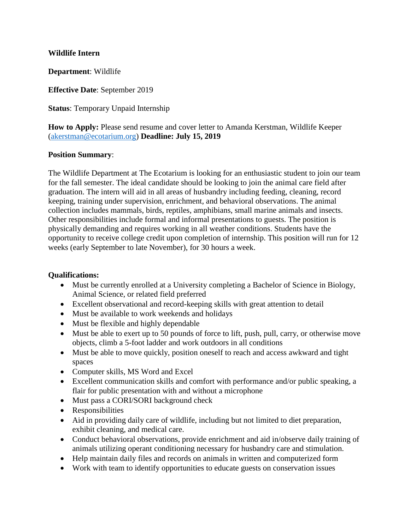## **Wildlife Intern**

**Department**: Wildlife

**Effective Date**: September 2019

**Status**: Temporary Unpaid Internship

**How to Apply:** Please send resume and cover letter to Amanda Kerstman, Wildlife Keeper [\(akerstman@ecotarium.org\)](mailto:akerstman@ecotarium.org) **Deadline: July 15, 2019**

## **Position Summary**:

The Wildlife Department at The Ecotarium is looking for an enthusiastic student to join our team for the fall semester. The ideal candidate should be looking to join the animal care field after graduation. The intern will aid in all areas of husbandry including feeding, cleaning, record keeping, training under supervision, enrichment, and behavioral observations. The animal collection includes mammals, birds, reptiles, amphibians, small marine animals and insects. Other responsibilities include formal and informal presentations to guests. The position is physically demanding and requires working in all weather conditions. Students have the opportunity to receive college credit upon completion of internship. This position will run for 12 weeks (early September to late November), for 30 hours a week.

#### **Qualifications:**

- Must be currently enrolled at a University completing a Bachelor of Science in Biology, Animal Science, or related field preferred
- Excellent observational and record-keeping skills with great attention to detail
- Must be available to work weekends and holidays
- Must be flexible and highly dependable
- Must be able to exert up to 50 pounds of force to lift, push, pull, carry, or otherwise move objects, climb a 5-foot ladder and work outdoors in all conditions
- Must be able to move quickly, position oneself to reach and access awkward and tight spaces
- Computer skills, MS Word and Excel
- Excellent communication skills and comfort with performance and/or public speaking, a flair for public presentation with and without a microphone
- Must pass a CORI/SORI background check
- Responsibilities
- Aid in providing daily care of wildlife, including but not limited to diet preparation, exhibit cleaning, and medical care.
- Conduct behavioral observations, provide enrichment and aid in/observe daily training of animals utilizing operant conditioning necessary for husbandry care and stimulation.
- Help maintain daily files and records on animals in written and computerized form
- Work with team to identify opportunities to educate guests on conservation issues